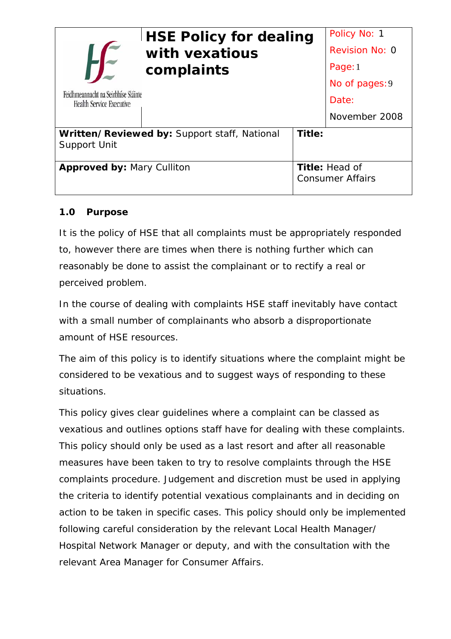| Feidhmeannacht na Seirbhíse Sláinte<br><b>Health Service Executive</b> | <b>HSE Policy for dealing</b><br>with vexatious<br>complaints |                                                  | Policy No: 1<br>Revision No: 0<br>Page: 1<br>No of pages: 9<br>Date: |
|------------------------------------------------------------------------|---------------------------------------------------------------|--------------------------------------------------|----------------------------------------------------------------------|
|                                                                        |                                                               |                                                  | November 2008                                                        |
| Written/Reviewed by: Support staff, National<br><b>Support Unit</b>    |                                                               | Title:                                           |                                                                      |
| <b>Approved by: Mary Culliton</b>                                      |                                                               | <b>Title: Head of</b><br><b>Consumer Affairs</b> |                                                                      |

### **1.0 Purpose**

It is the policy of HSE that all complaints must be appropriately responded to, however there are times when there is nothing further which can reasonably be done to assist the complainant or to rectify a real or perceived problem.

In the course of dealing with complaints HSE staff inevitably have contact with a small number of complainants who absorb a disproportionate amount of HSE resources.

The aim of this policy is to identify situations where the complaint might be considered to be vexatious and to suggest ways of responding to these situations.

This policy gives clear guidelines where a complaint can be classed as vexatious and outlines options staff have for dealing with these complaints. This policy should only be used as a last resort and after all reasonable measures have been taken to try to resolve complaints through the HSE complaints procedure. Judgement and discretion must be used in applying the criteria to identify potential vexatious complainants and in deciding on action to be taken in specific cases. This policy should only be implemented following careful consideration by the relevant Local Health Manager/ Hospital Network Manager or deputy, and with the consultation with the relevant Area Manager for Consumer Affairs.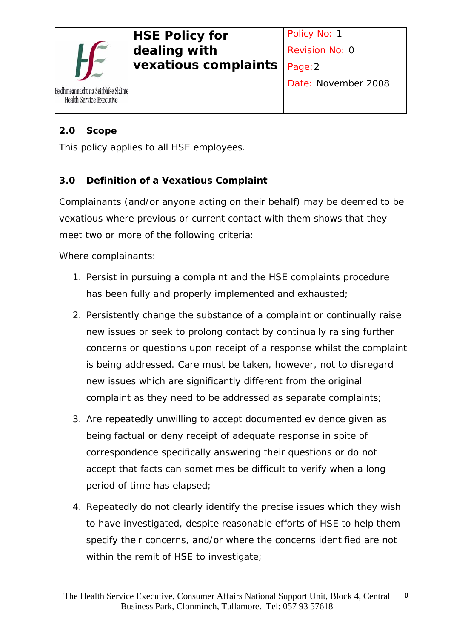

### **2.0 Scope**

This policy applies to all HSE employees.

### **3.0 Definition of a Vexatious Complaint**

Complainants (and/or anyone acting on their behalf) may be deemed to be vexatious where previous or current contact with them shows that they meet two or more of the following criteria:

Where complainants:

- 1. Persist in pursuing a complaint and the HSE complaints procedure has been fully and properly implemented and exhausted;
- 2. Persistently change the substance of a complaint or continually raise new issues or seek to prolong contact by continually raising further concerns or questions upon receipt of a response whilst the complaint is being addressed. Care must be taken, however, not to disregard new issues which are significantly different from the original complaint as they need to be addressed as separate complaints;
- 3. Are repeatedly unwilling to accept documented evidence given as being factual or deny receipt of adequate response in spite of correspondence specifically answering their questions or do not accept that facts can sometimes be difficult to verify when a long period of time has elapsed;
- 4. Repeatedly do not clearly identify the precise issues which they wish to have investigated, despite reasonable efforts of HSE to help them specify their concerns, and/or where the concerns identified are not within the remit of HSE to investigate;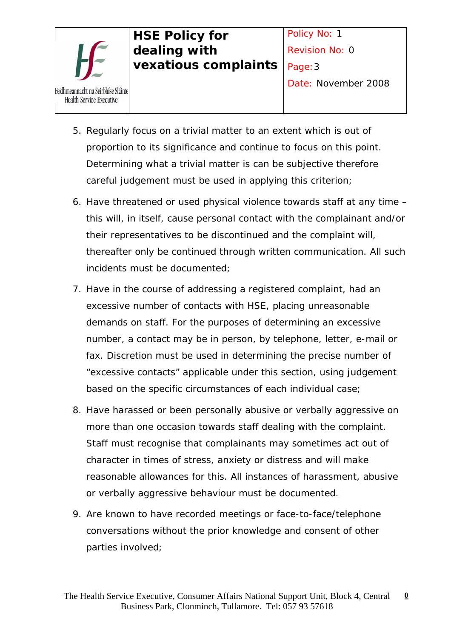

- 5. Regularly focus on a trivial matter to an extent which is out of proportion to its significance and continue to focus on this point. Determining what a trivial matter is can be subjective therefore careful judgement must be used in applying this criterion;
- 6. Have threatened or used physical violence towards staff at any time this will, in itself, cause personal contact with the complainant and/or their representatives to be discontinued and the complaint will, thereafter only be continued through written communication. All such incidents must be documented;
- 7. Have in the course of addressing a registered complaint, had an excessive number of contacts with HSE, placing unreasonable demands on staff. For the purposes of determining an excessive number, a contact may be in person, by telephone, letter, e-mail or fax. Discretion must be used in determining the precise number of "excessive contacts" applicable under this section, using judgement based on the specific circumstances of each individual case;
- 8. Have harassed or been personally abusive or verbally aggressive on more than one occasion towards staff dealing with the complaint. Staff must recognise that complainants may sometimes act out of character in times of stress, anxiety or distress and will make reasonable allowances for this. All instances of harassment, abusive or verbally aggressive behaviour must be documented.
- 9. Are known to have recorded meetings or face-to-face/telephone conversations without the prior knowledge and consent of other parties involved;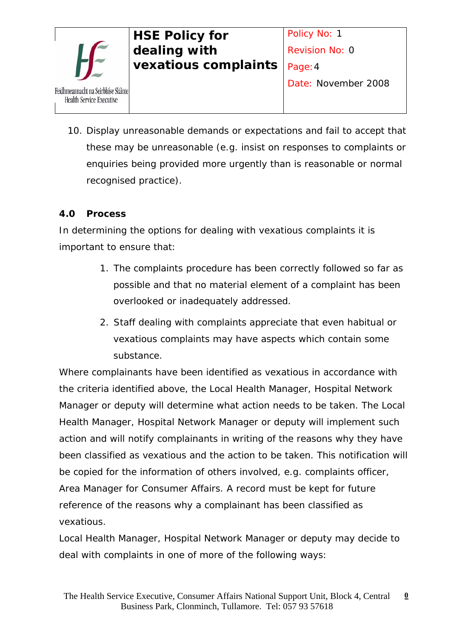

10. Display unreasonable demands or expectations and fail to accept that these may be unreasonable (e.g. insist on responses to complaints or enquiries being provided more urgently than is reasonable or normal recognised practice).

## **4.0 Process**

In determining the options for dealing with vexatious complaints it is important to ensure that:

- 1. The complaints procedure has been correctly followed so far as possible and that no material element of a complaint has been overlooked or inadequately addressed.
- 2. Staff dealing with complaints appreciate that even habitual or vexatious complaints may have aspects which contain some substance.

Where complainants have been identified as vexatious in accordance with the criteria identified above, the Local Health Manager, Hospital Network Manager or deputy will determine what action needs to be taken. The Local Health Manager, Hospital Network Manager or deputy will implement such action and will notify complainants in writing of the reasons why they have been classified as vexatious and the action to be taken. This notification will be copied for the information of others involved, e.g. complaints officer, Area Manager for Consumer Affairs. A record must be kept for future reference of the reasons why a complainant has been classified as vexatious.

Local Health Manager, Hospital Network Manager or deputy may decide to deal with complaints in one of more of the following ways: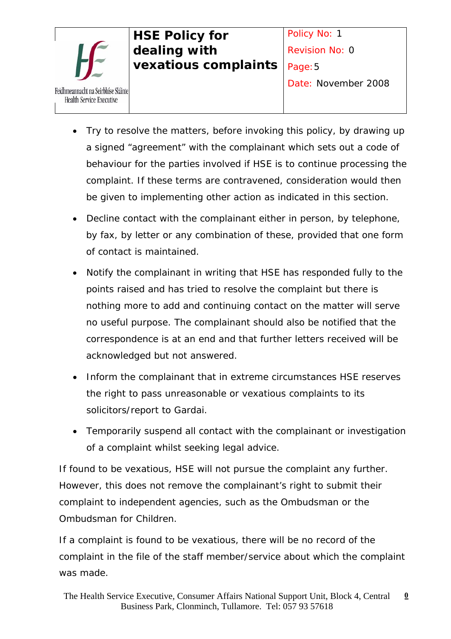

- Try to resolve the matters, before invoking this policy, by drawing up a signed "agreement" with the complainant which sets out a code of behaviour for the parties involved if HSE is to continue processing the complaint. If these terms are contravened, consideration would then be given to implementing other action as indicated in this section.
- Decline contact with the complainant either in person, by telephone, by fax, by letter or any combination of these, provided that one form of contact is maintained.
- Notify the complainant in writing that HSE has responded fully to the points raised and has tried to resolve the complaint but there is nothing more to add and continuing contact on the matter will serve no useful purpose. The complainant should also be notified that the correspondence is at an end and that further letters received will be acknowledged but not answered.
- Inform the complainant that in extreme circumstances HSE reserves the right to pass unreasonable or vexatious complaints to its solicitors/report to Gardai.
- Temporarily suspend all contact with the complainant or investigation of a complaint whilst seeking legal advice.

If found to be vexatious, HSE will not pursue the complaint any further. However, this does not remove the complainant's right to submit their complaint to independent agencies, such as the Ombudsman or the Ombudsman for Children.

If a complaint is found to be vexatious, there will be no record of the complaint in the file of the staff member/service about which the complaint was made.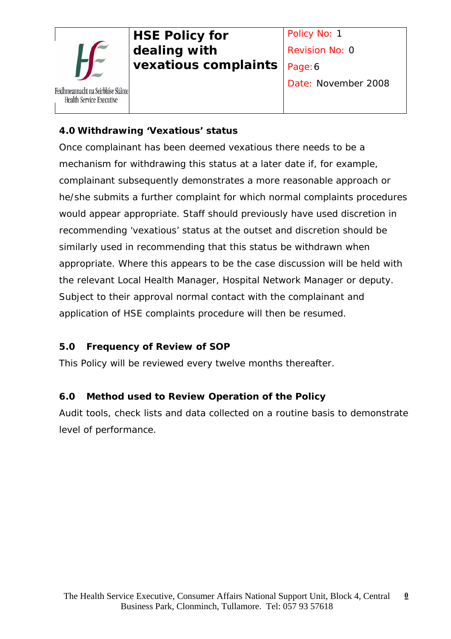

Date: November 2008

## **4.0 Withdrawing 'Vexatious' status**

Once complainant has been deemed vexatious there needs to be a mechanism for withdrawing this status at a later date if, for example, complainant subsequently demonstrates a more reasonable approach or he/she submits a further complaint for which normal complaints procedures would appear appropriate. Staff should previously have used discretion in recommending 'vexatious' status at the outset and discretion should be similarly used in recommending that this status be withdrawn when appropriate. Where this appears to be the case discussion will be held with the relevant Local Health Manager, Hospital Network Manager or deputy. Subject to their approval normal contact with the complainant and application of HSE complaints procedure will then be resumed.

## **5.0 Frequency of Review of SOP**

This Policy will be reviewed every twelve months thereafter.

## **6.0 Method used to Review Operation of the Policy**

Audit tools, check lists and data collected on a routine basis to demonstrate level of performance.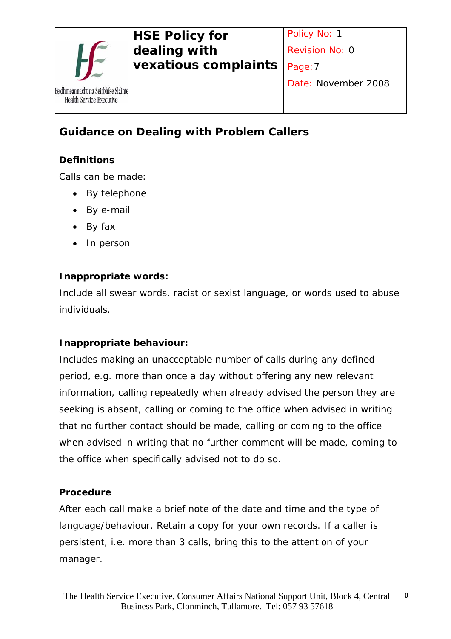

# **Guidance on Dealing with Problem Callers**

### **Definitions**

Calls can be made:

- By telephone
- By e-mail
- By fax
- In person

### **Inappropriate words:**

Include all swear words, racist or sexist language, or words used to abuse individuals.

### **Inappropriate behaviour:**

Includes making an unacceptable number of calls during any defined period, e.g. more than once a day without offering any new relevant information, calling repeatedly when already advised the person they are seeking is absent, calling or coming to the office when advised in writing that no further contact should be made, calling or coming to the office when advised in writing that no further comment will be made, coming to the office when specifically advised not to do so.

#### **Procedure**

After each call make a brief note of the date and time and the type of language/behaviour. Retain a copy for your own records. If a caller is persistent, i.e. more than 3 calls, bring this to the attention of your manager.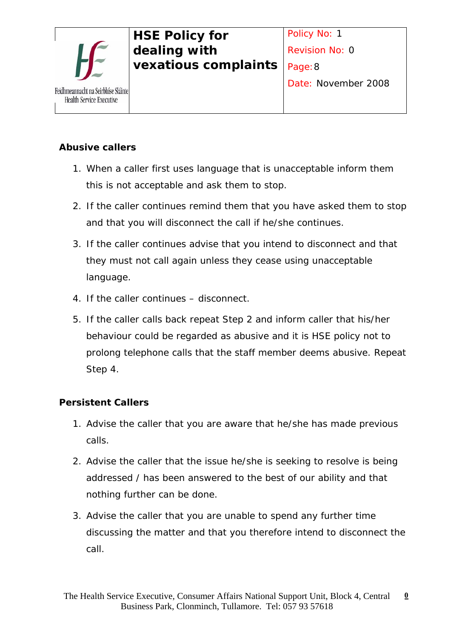

## **Abusive callers**

- 1. When a caller first uses language that is unacceptable inform them this is not acceptable and ask them to stop.
- 2. If the caller continues remind them that you have asked them to stop and that you will disconnect the call if he/she continues.
- 3. If the caller continues advise that you intend to disconnect and that they must not call again unless they cease using unacceptable language.
- 4. If the caller continues disconnect.
- 5. If the caller calls back repeat Step 2 and inform caller that his/her behaviour could be regarded as abusive and it is HSE policy not to prolong telephone calls that the staff member deems abusive. Repeat Step 4.

## **Persistent Callers**

- 1. Advise the caller that you are aware that he/she has made previous calls.
- 2. Advise the caller that the issue he/she is seeking to resolve is being addressed / has been answered to the best of our ability and that nothing further can be done.
- 3. Advise the caller that you are unable to spend any further time discussing the matter and that you therefore intend to disconnect the call.